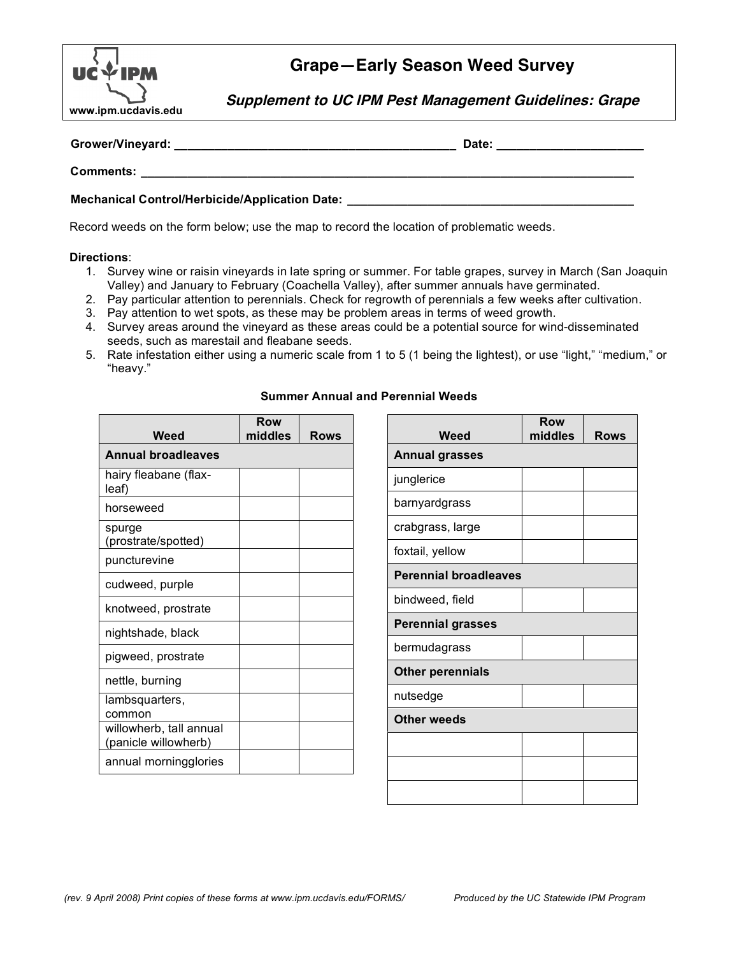

## **Grape—Early Season Weed Survey**

**Supplement to UC IPM Pest Management Guidelines: Grape**

| Grower/Vineyard:                                      | Date: |  |
|-------------------------------------------------------|-------|--|
| Comments:                                             |       |  |
| <b>Mechanical Control/Herbicide/Application Date:</b> |       |  |

Record weeds on the form below; use the map to record the location of problematic weeds.

## **Directions**:

- 1. Survey wine or raisin vineyards in late spring or summer. For table grapes, survey in March (San Joaquin Valley) and January to February (Coachella Valley), after summer annuals have germinated.
- 2. Pay particular attention to perennials. Check for regrowth of perennials a few weeks after cultivation.
- 3. Pay attention to wet spots, as these may be problem areas in terms of weed growth.
- 4. Survey areas around the vineyard as these areas could be a potential source for wind-disseminated seeds, such as marestail and fleabane seeds.
- 5. Rate infestation either using a numeric scale from 1 to 5 (1 being the lightest), or use "light," "medium," or "heavy."

| <b>Summer Annual and Perennial Weeds</b> |  |  |
|------------------------------------------|--|--|
|                                          |  |  |

| Weed                                            | Row<br>middles | Rows |
|-------------------------------------------------|----------------|------|
| <b>Annual broadleaves</b>                       |                |      |
| hairy fleabane (flax-<br>leaf)                  |                |      |
| horseweed                                       |                |      |
| spurge<br>(prostrate/spotted)                   |                |      |
| puncturevine                                    |                |      |
| cudweed, purple                                 |                |      |
| knotweed, prostrate                             |                |      |
| nightshade, black                               |                |      |
| pigweed, prostrate                              |                |      |
| nettle, burning                                 |                |      |
| lambsquarters,<br>common                        |                |      |
| willowherb, tall annual<br>(panicle willowherb) |                |      |
| annual morningglories                           |                |      |

| Weed                         | <b>Row</b><br>middles | <b>Rows</b> |  |  |
|------------------------------|-----------------------|-------------|--|--|
| <b>Annual grasses</b>        |                       |             |  |  |
| junglerice                   |                       |             |  |  |
| barnyardgrass                |                       |             |  |  |
| crabgrass, large             |                       |             |  |  |
| foxtail, yellow              |                       |             |  |  |
| <b>Perennial broadleaves</b> |                       |             |  |  |
| bindweed, field              |                       |             |  |  |
| <b>Perennial grasses</b>     |                       |             |  |  |
| bermudagrass                 |                       |             |  |  |
| <b>Other perennials</b>      |                       |             |  |  |
| nutsedge                     |                       |             |  |  |
| Other weeds                  |                       |             |  |  |
|                              |                       |             |  |  |
|                              |                       |             |  |  |
|                              |                       |             |  |  |